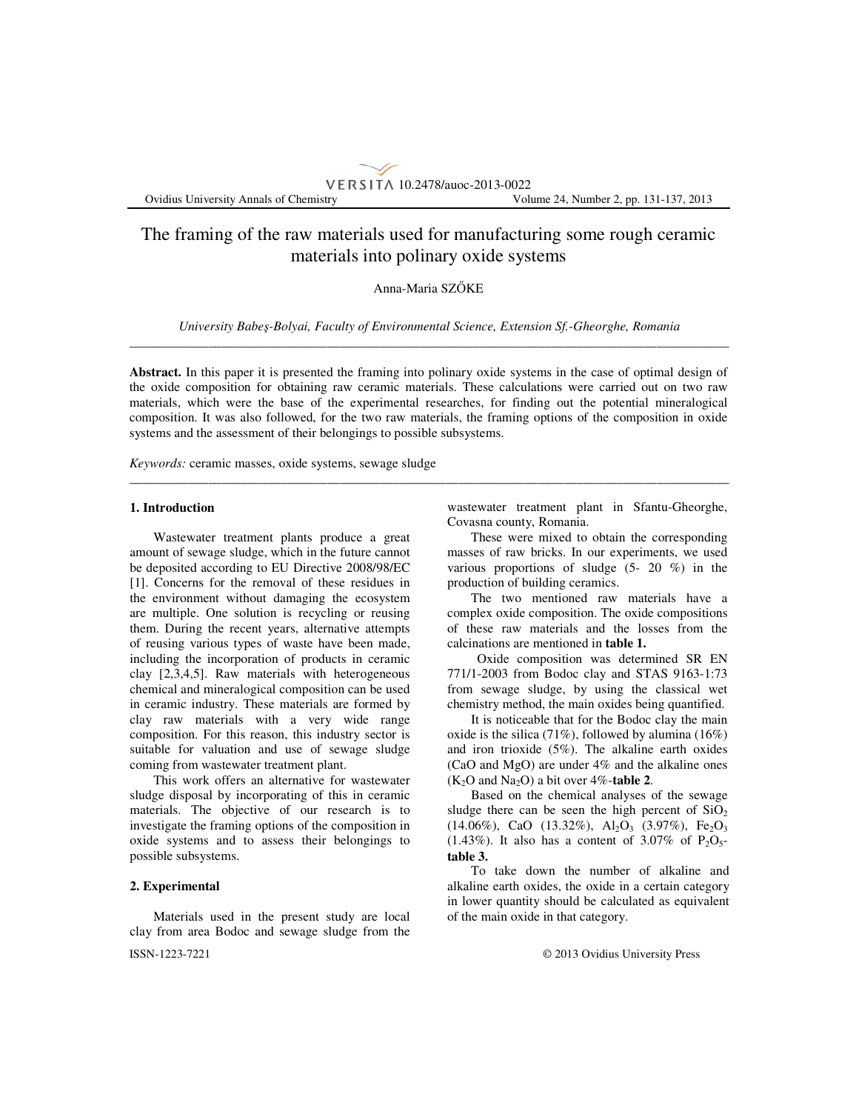# The framing of the raw materials used for manufacturing some rough ceramic materials into polinary oxide systems

VERSITA 10.2478/auoc-2013-0022

# Anna-Maria SZŐKE

*University Babe*ş*-Bolyai, Faculty of Environmental Science, Extension Sf.-Gheorghe, Romania*  \_\_\_\_\_\_\_\_\_\_\_\_\_\_\_\_\_\_\_\_\_\_\_\_\_\_\_\_\_\_\_\_\_\_\_\_\_\_\_\_\_\_\_\_\_\_\_\_\_\_\_\_\_\_\_\_\_\_\_\_\_\_\_\_\_\_\_\_\_\_\_\_\_\_\_\_\_\_\_\_\_\_\_\_\_\_\_\_\_\_\_

**Abstract.** In this paper it is presented the framing into polinary oxide systems in the case of optimal design of the oxide composition for obtaining raw ceramic materials. These calculations were carried out on two raw materials, which were the base of the experimental researches, for finding out the potential mineralogical composition. It was also followed, for the two raw materials, the framing options of the composition in oxide systems and the assessment of their belongings to possible subsystems.

\_\_\_\_\_\_\_\_\_\_\_\_\_\_\_\_\_\_\_\_\_\_\_\_\_\_\_\_\_\_\_\_\_\_\_\_\_\_\_\_\_\_\_\_\_\_\_\_\_\_\_\_\_\_\_\_\_\_\_\_\_\_\_\_\_\_\_\_\_\_\_\_\_\_\_\_\_\_\_\_\_\_\_\_\_\_\_\_\_\_\_

*Keywords:* ceramic masses, oxide systems, sewage sludge

## **1. Introduction**

Wastewater treatment plants produce a great amount of sewage sludge, which in the future cannot be deposited according to EU Directive 2008/98/EC [1]. Concerns for the removal of these residues in the environment without damaging the ecosystem are multiple. One solution is recycling or reusing them. During the recent years, alternative attempts of reusing various types of waste have been made, including the incorporation of products in ceramic clay [2,3,4,5]. Raw materials with heterogeneous chemical and mineralogical composition can be used in ceramic industry. These materials are formed by clay raw materials with a very wide range composition. For this reason, this industry sector is suitable for valuation and use of sewage sludge coming from wastewater treatment plant.

This work offers an alternative for wastewater sludge disposal by incorporating of this in ceramic materials. The objective of our research is to investigate the framing options of the composition in oxide systems and to assess their belongings to possible subsystems.

# **2. Experimental**

ISSN-1223-7221 © 2013 Ovidius University Press Materials used in the present study are local clay from area Bodoc and sewage sludge from the

wastewater treatment plant in Sfantu-Gheorghe, Covasna county, Romania.

These were mixed to obtain the corresponding masses of raw bricks. In our experiments, we used various proportions of sludge (5- 20 %) in the production of building ceramics.

The two mentioned raw materials have a complex oxide composition. The oxide compositions of these raw materials and the losses from the calcinations are mentioned in **table 1.** 

Oxide composition was determined SR EN 771/1-2003 from Bodoc clay and STAS 9163-1:73 from sewage sludge, by using the classical wet chemistry method, the main oxides being quantified.

It is noticeable that for the Bodoc clay the main oxide is the silica (71%), followed by alumina (16%) and iron trioxide (5%). The alkaline earth oxides (CaO and MgO) are under 4% and the alkaline ones  $(K_2O$  and  $Na_2O$ ) a bit over 4%-**table 2**.

Based on the chemical analyses of the sewage sludge there can be seen the high percent of  $SiO<sub>2</sub>$  $(14.06\%)$ , CaO  $(13.32\%)$ , Al<sub>2</sub>O<sub>3</sub>  $(3.97\%)$ , Fe<sub>2</sub>O<sub>3</sub>  $(1.43\%)$ . It also has a content of 3.07% of P<sub>2</sub>O<sub>5</sub>**table 3.** 

To take down the number of alkaline and alkaline earth oxides, the oxide in a certain category in lower quantity should be calculated as equivalent of the main oxide in that category.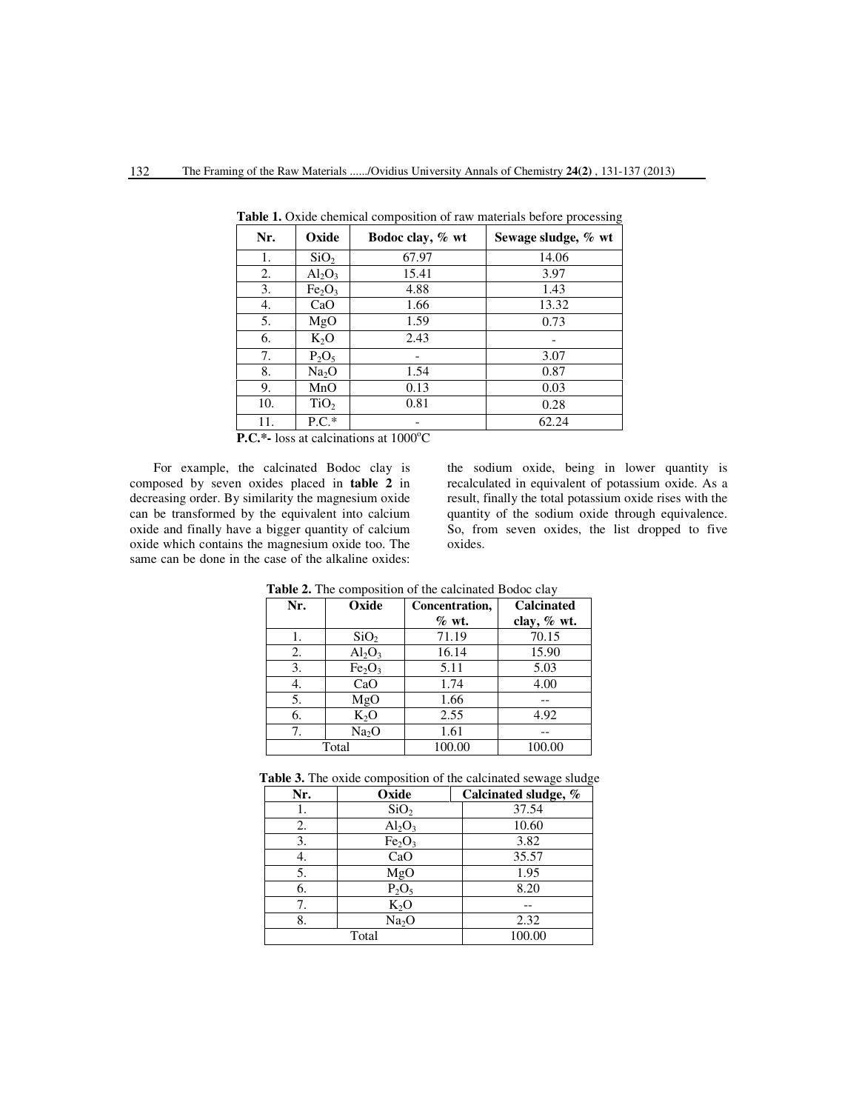| Nr. | Oxide                          | Bodoc clay, % wt | Sewage sludge, % wt |
|-----|--------------------------------|------------------|---------------------|
| 1.  | SiO <sub>2</sub>               | 67.97            | 14.06               |
| 2.  | $Al_2O_3$                      | 15.41            | 3.97                |
| 3.  | Fe <sub>2</sub> O <sub>3</sub> | 4.88             | 1.43                |
| 4.  | CaO                            | 1.66             | 13.32               |
| 5.  | MgO                            | 1.59             | 0.73                |
| 6.  | $K_2O$                         | 2.43             |                     |
| 7.  | $P_2O_5$                       |                  | 3.07                |
| 8.  | Na <sub>2</sub> O              | 1.54             | 0.87                |
| 9.  | MnO                            | 0.13             | 0.03                |
| 10. | TiO <sub>2</sub>               | 0.81             | 0.28                |
| 11. | $P.C.*$                        | $- - - - - - -$  | 62.24               |

Table 1. Oxide chemical composition of raw materials before processing

**P.C.\*-** loss at calcinations at 1000°C

For example, the calcinated Bodoc clay is composed by seven oxides placed in **table 2** in decreasing order. By similarity the magnesium oxide can be transformed by the equivalent into calcium oxide and finally have a bigger quantity of calcium oxide which contains the magnesium oxide too. The same can be done in the case of the alkaline oxides: the sodium oxide, being in lower quantity is recalculated in equivalent of potassium oxide. As a result, finally the total potassium oxide rises with the quantity of the sodium oxide through equivalence. So, from seven oxides, the list dropped to five oxides.

| <b>rapic 2.</b> The composition of the calendary Dodoe clay |                                |                   |               |  |  |  |  |  |  |
|-------------------------------------------------------------|--------------------------------|-------------------|---------------|--|--|--|--|--|--|
| Nr.                                                         | Oxide                          | <b>Calcinated</b> |               |  |  |  |  |  |  |
|                                                             |                                | $\%$ wt.          | clay, $%$ wt. |  |  |  |  |  |  |
| ı.                                                          | SiO <sub>2</sub>               | 71.19             | 70.15         |  |  |  |  |  |  |
| 2.                                                          | $Al_2O_3$                      | 16.14             | 15.90         |  |  |  |  |  |  |
| 3.                                                          | Fe <sub>2</sub> O <sub>3</sub> | 5.11              | 5.03          |  |  |  |  |  |  |
| 4.                                                          | CaO                            | 1.74              | 4.00          |  |  |  |  |  |  |
| 5.                                                          | MgO                            | 1.66              |               |  |  |  |  |  |  |
| 6.                                                          | $K_2O$                         | 2.55              | 4.92          |  |  |  |  |  |  |
| 7.                                                          | Na <sub>2</sub> O              | 1.61              |               |  |  |  |  |  |  |
|                                                             | Total                          | 100.00            | 100.00        |  |  |  |  |  |  |

**Table 2.** The composition of the calcinated Bodoc clay

| Table 3. The oxide composition of the calcinated sewage sludge |  |
|----------------------------------------------------------------|--|
|----------------------------------------------------------------|--|

| Nr. | Oxide                          | Calcinated sludge, % |
|-----|--------------------------------|----------------------|
| Ī.  | SiO <sub>2</sub>               | 37.54                |
| 2.  | $Al_2O_3$                      | 10.60                |
| 3.  | Fe <sub>2</sub> O <sub>3</sub> | 3.82                 |
| 4.  | CaO                            | 35.57                |
| 5.  | MgO                            | 1.95                 |
| 6.  | $P_2O_5$                       | 8.20                 |
| 7.  | $K_2O$                         |                      |
| 8.  | Na <sub>2</sub> O              | 2.32                 |
|     | Total                          | 100.00               |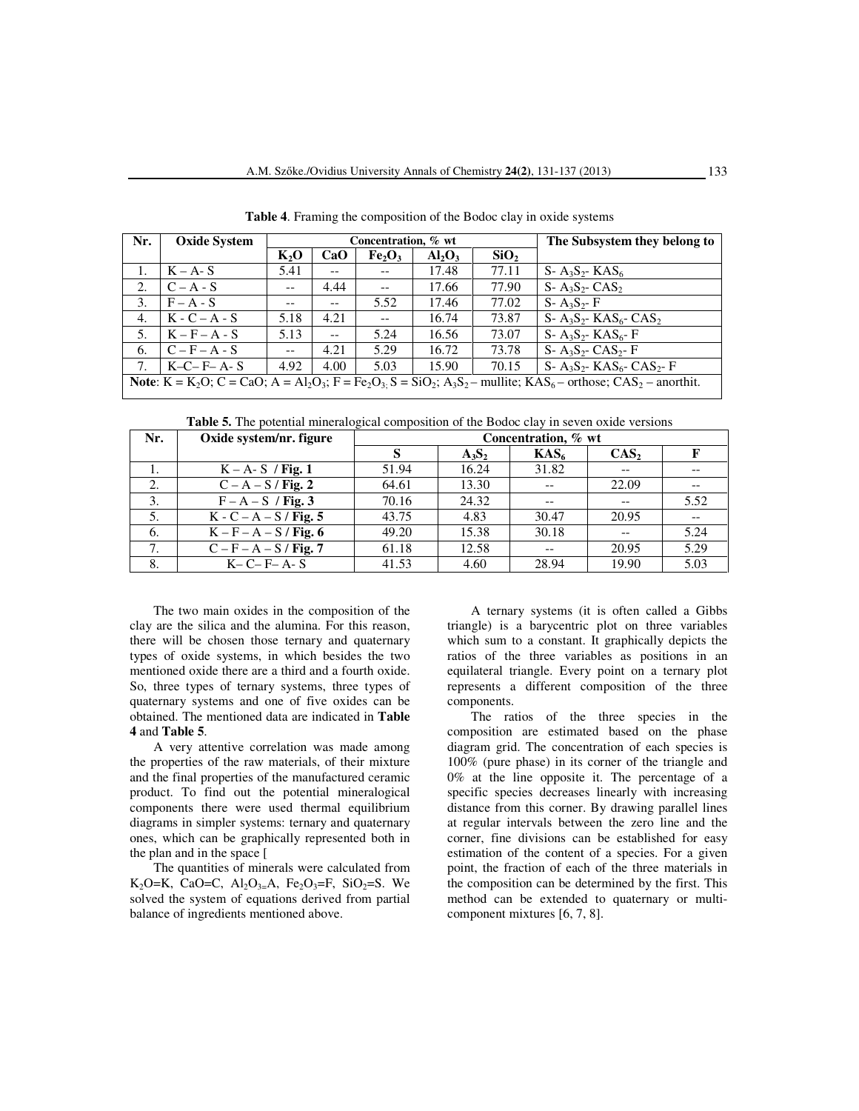| Nr.                                                                                                                                            | <b>Oxide System</b> |         |       | Concentration, % wt            | The Subsystem they belong to |                  |                                                       |  |  |
|------------------------------------------------------------------------------------------------------------------------------------------------|---------------------|---------|-------|--------------------------------|------------------------------|------------------|-------------------------------------------------------|--|--|
|                                                                                                                                                |                     | $K_2$ O | CaO   | Fe <sub>2</sub> O <sub>3</sub> | $Al_2O_3$                    | SiO <sub>2</sub> |                                                       |  |  |
|                                                                                                                                                | $K - A - S$         | 5.41    | $- -$ | $- -$                          | 17.48                        | 77.11            | $S - A_3S_2 - KAS_6$                                  |  |  |
| 2.                                                                                                                                             | $C - A - S$         | $-$     | 4.44  | $\overline{\phantom{a}}$       | 17.66                        | 77.90            | $S - A_3S_2 - CAS_2$                                  |  |  |
| 3.                                                                                                                                             | $F - A - S$         | $- -$   | $- -$ | 5.52                           | 17.46                        | 77.02            | $S - A_3S_2 - F$                                      |  |  |
| 4.                                                                                                                                             | $K - C - A - S$     | 5.18    | 4.21  | $- -$                          | 16.74                        | 73.87            | $S-A_3S_2-KAS_6-CAS_2$                                |  |  |
| 5.                                                                                                                                             | $K - F - A - S$     | 5.13    | $-$   | 5.24                           | 16.56                        | 73.07            | S- $A_3S_2$ - KAS <sub>6</sub> - F                    |  |  |
| 6.                                                                                                                                             | $C - F - A - S$     | $- -$   | 4.21  | 5.29                           | 16.72                        | 73.78            | $S - A_3S_2 - CAS_2 - F$                              |  |  |
| 7.                                                                                                                                             | $K-C-F-A-S$         | 4.92    | 4.00  | 5.03                           | 15.90                        | 70.15            | S- $A_3S_2$ - KAS <sub>6</sub> - CAS <sub>2</sub> - F |  |  |
| <b>Note:</b> $K = K_2O$ ; $C = CaO$ ; $A = Al_2O_3$ ; $F = Fe_2O_3$ ; $S = SiO_2$ ; $A_3S_2$ – mullite; $KAS_6$ – orthose; $CAS_2$ – anorthit. |                     |         |       |                                |                              |                  |                                                       |  |  |

**Table 4**. Framing the composition of the Bodoc clay in oxide systems

**Table 5.** The potential mineralogical composition of the Bodoc clay in seven oxide versions

| Nr. | Oxide system/nr. figure  | Concentration, % wt |          |                  |                  |      |  |  |  |
|-----|--------------------------|---------------------|----------|------------------|------------------|------|--|--|--|
|     |                          |                     | $A_3S_2$ | KAS <sub>6</sub> | CAS <sub>2</sub> |      |  |  |  |
| 1.  | $K - A - S$ / Fig. 1     | 51.94               | 16.24    | 31.82            |                  |      |  |  |  |
| 2.  | $C - A - S / Fig. 2$     | 64.61               | 13.30    |                  | 22.09            |      |  |  |  |
| 3.  | $F - A - S$ / Fig. 3     | 70.16               | 24.32    |                  |                  | 5.52 |  |  |  |
| 5.  | $K - C - A - S / Fig. 5$ | 43.75               | 4.83     | 30.47            | 20.95            |      |  |  |  |
| 6.  | $K - F - A - S / Fig. 6$ | 49.20               | 15.38    | 30.18            |                  | 5.24 |  |  |  |
| 7.  | $C - F - A - S / Fig. 7$ | 61.18               | 12.58    | $- -$            | 20.95            | 5.29 |  |  |  |
| 8.  | $K-C-F-A-S$              | 41.53               | 4.60     | 28.94            | 19.90            | 5.03 |  |  |  |

The two main oxides in the composition of the clay are the silica and the alumina. For this reason, there will be chosen those ternary and quaternary types of oxide systems, in which besides the two mentioned oxide there are a third and a fourth oxide. So, three types of ternary systems, three types of quaternary systems and one of five oxides can be obtained. The mentioned data are indicated in **Table 4** and **Table 5**.

A very attentive correlation was made among the properties of the raw materials, of their mixture and the final properties of the manufactured ceramic product. To find out the potential mineralogical components there were used thermal equilibrium diagrams in simpler systems: ternary and quaternary ones, which can be graphically represented both in the plan and in the space [

The quantities of minerals were calculated from K<sub>2</sub>O=K, CaO=C, Al<sub>2</sub>O<sub>3=</sub>A, Fe<sub>2</sub>O<sub>3</sub>=F, SiO<sub>2</sub>=S. We solved the system of equations derived from partial balance of ingredients mentioned above.

A ternary systems (it is often called a Gibbs triangle) is a barycentric plot on three variables which sum to a constant. It graphically depicts the ratios of the three variables as positions in an equilateral triangle. Every point on a ternary plot represents a different composition of the three components.

The ratios of the three species in the composition are estimated based on the phase diagram grid. The concentration of each species is 100% (pure phase) in its corner of the triangle and 0% at the line opposite it. The percentage of a specific species decreases linearly with increasing distance from this corner. By drawing parallel lines at regular intervals between the zero line and the corner, fine divisions can be established for easy estimation of the content of a species. For a given point, the fraction of each of the three materials in the composition can be determined by the first. This method can be extended to quaternary or multicomponent mixtures [6, 7, 8].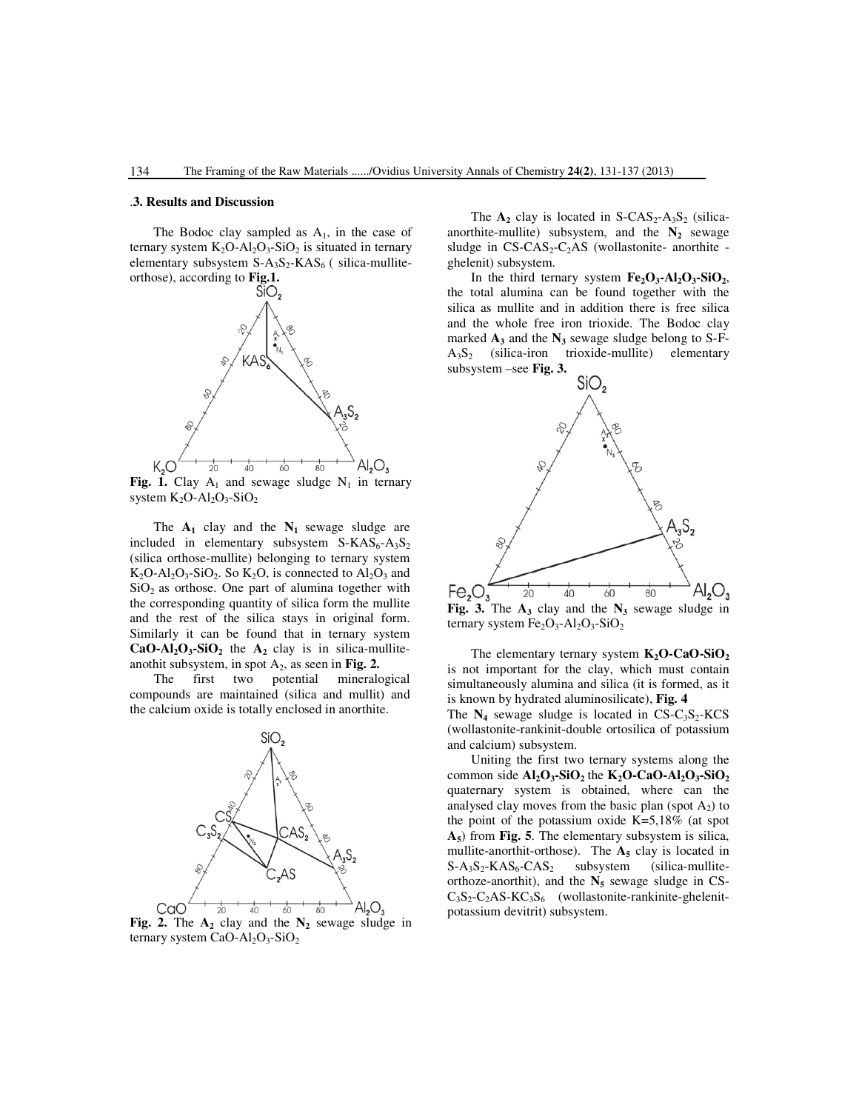#### .**3. Results and Discussion**

The Bodoc clay sampled as  $A_1$ , in the case of ternary system  $K_2O-Al_2O_3-SiO_2$  is situated in ternary elementary subsystem  $S-A_3S_2-KAS_6$  ( silica-mullite-



Fig. 1. Clay  $A_1$  and sewage sludge  $N_1$  in ternary system  $K_2O-Al_2O_3-SiO_2$ 

The  $A_1$  clay and the  $N_1$  sewage sludge are included in elementary subsystem  $S-KAS_6-A_3S_2$ (silica orthose-mullite) belonging to ternary system  $K_2O-Al_2O_3-SiO_2$ . So  $K_2O$ , is connected to  $Al_2O_3$  and  $SiO<sub>2</sub>$  as orthose. One part of alumina together with the corresponding quantity of silica form the mullite and the rest of the silica stays in original form. Similarly it can be found that in ternary system  $CaO-AI_2O_3-SiO_2$  the  $A_2$  clay is in silica-mulliteanothit subsystem, in spot  $A_2$ , as seen in **Fig. 2.** 

The first two potential mineralogical compounds are maintained (silica and mullit) and the calcium oxide is totally enclosed in anorthite.



 **Fig. 2.** The **A2** clay and the **N<sup>2</sup>** sewage sludge in ternary system  $CaO-Al<sub>2</sub>O<sub>3</sub>-SiO<sub>2</sub>$ 

The  $A_2$  clay is located in S-CAS<sub>2</sub>-A<sub>3</sub>S<sub>2</sub> (silicaanorthite-mullite) subsystem, and the  $N_2$  sewage sludge in  $CS-CAS_2-C_2AS$  (wollastonite- anorthite ghelenit) subsystem.

In the third ternary system  $Fe<sub>2</sub>O<sub>3</sub>$ **-Al**<sub>2</sub> $O<sub>3</sub>$ **-SiO**<sub>2</sub>, the total alumina can be found together with the silica as mullite and in addition there is free silica and the whole free iron trioxide. The Bodoc clay marked **A<sup>3</sup>** and the **N3** sewage sludge belong to S-F- $A_3S_2$  (silica-iron trioxide-mullite) elementary subsystem –see **Fig. 3.** 



ternary system  $Fe<sub>2</sub>O<sub>3</sub>$ -Al<sub>2</sub>O<sub>3</sub>-SiO<sub>2</sub>

 The elementary ternary system **K2O-CaO-SiO<sup>2</sup>** is not important for the clay, which must contain simultaneously alumina and silica (it is formed, as it is known by hydrated aluminosilicate), **Fig. 4**

The  $N_4$  sewage sludge is located in  $CS-C_3S_2-KCS$ (wollastonite-rankinit-double ortosilica of potassium and calcium) subsystem.

 Uniting the first two ternary systems along the common side  $AI_2O_3$ -SiO<sub>2</sub> the  $K_2O$ -CaO- $AI_2O_3$ -SiO<sub>2</sub> quaternary system is obtained, where can the analysed clay moves from the basic plan (spot  $A_2$ ) to the point of the potassium oxide K=5,18% (at spot **A5**) from **Fig. 5**. The elementary subsystem is silica, mullite-anorthit-orthose). The **A5** clay is located in  $S-A_3S_2-KAS_6-CAS_2$  subsystem (silica-mulliteorthoze-anorthit), and the  $N_5$  sewage sludge in CS- $C_3S_2-C_2AS-KC_3S_6$  (wollastonite-rankinite-ghelenitpotassium devitrit) subsystem.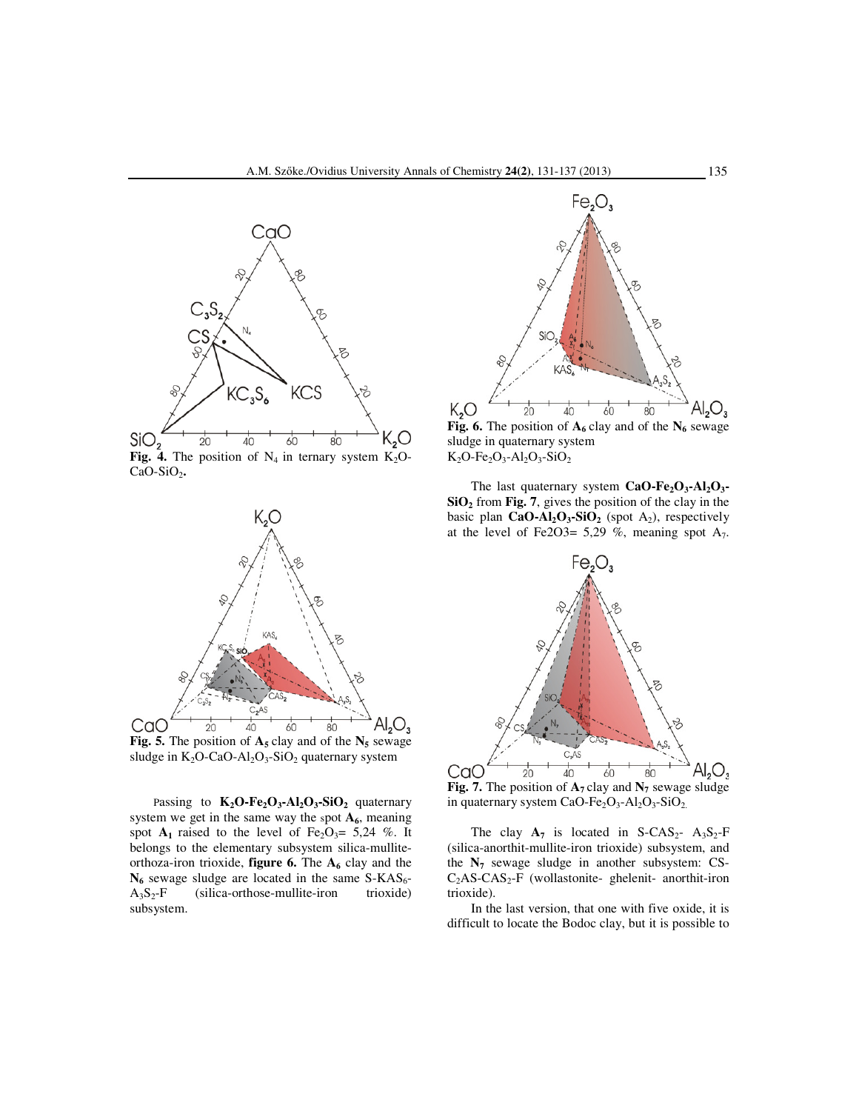

CaO-SiO<sub>2</sub>.



**Fig. 5.** The position of  $A_5$  clay and of the  $N_5$  sewage sludge in  $K_2O$ -CaO-Al<sub>2</sub>O<sub>3</sub>-SiO<sub>2</sub> quaternary system

Passing to  $K_2O$ -Fe<sub>2</sub>O<sub>3</sub>-Al<sub>2</sub>O<sub>3</sub>-SiO<sub>2</sub> quaternary system we get in the same way the spot  $A_6$ , meaning spot  $A_1$  raised to the level of Fe<sub>2</sub>O<sub>3</sub>= 5,24 %. It belongs to the elementary subsystem silica-mulliteorthoza-iron trioxide, **figure 6.** The **A<sup>6</sup>** clay and the  $N_6$  sewage sludge are located in the same S-KAS<sub>6</sub>-<br>A<sub>3</sub>S<sub>2</sub>-F (silica-orthose-mullite-iron trioxide) (silica-orthose-mullite-iron subsystem.



sludge in quaternary system  $K_2O-Fe_2O_3-Al_2O_3-SiO_2$ 

 The last quaternary system **CaO-Fe2O3-Al2O3- SiO2** from **Fig. 7**, gives the position of the clay in the basic plan **CaO-Al2O3-SiO<sup>2</sup>** (spot A2), respectively at the level of Fe2O3= 5,29 %, meaning spot  $A_7$ .



in quaternary system CaO-Fe<sub>2</sub>O<sub>3</sub>-Al<sub>2</sub>O<sub>3</sub>-SiO<sub>2.</sub>

The clay  $A_7$  is located in S-CAS<sub>2</sub>-  $A_3S_2-F$ (silica-anorthit-mullite-iron trioxide) subsystem, and the  $N_7$  sewage sludge in another subsystem: CS- $C_2AS-CAS_2-F$  (wollastonite- ghelenit- anorthit-iron trioxide).

 In the last version, that one with five oxide, it is difficult to locate the Bodoc clay, but it is possible to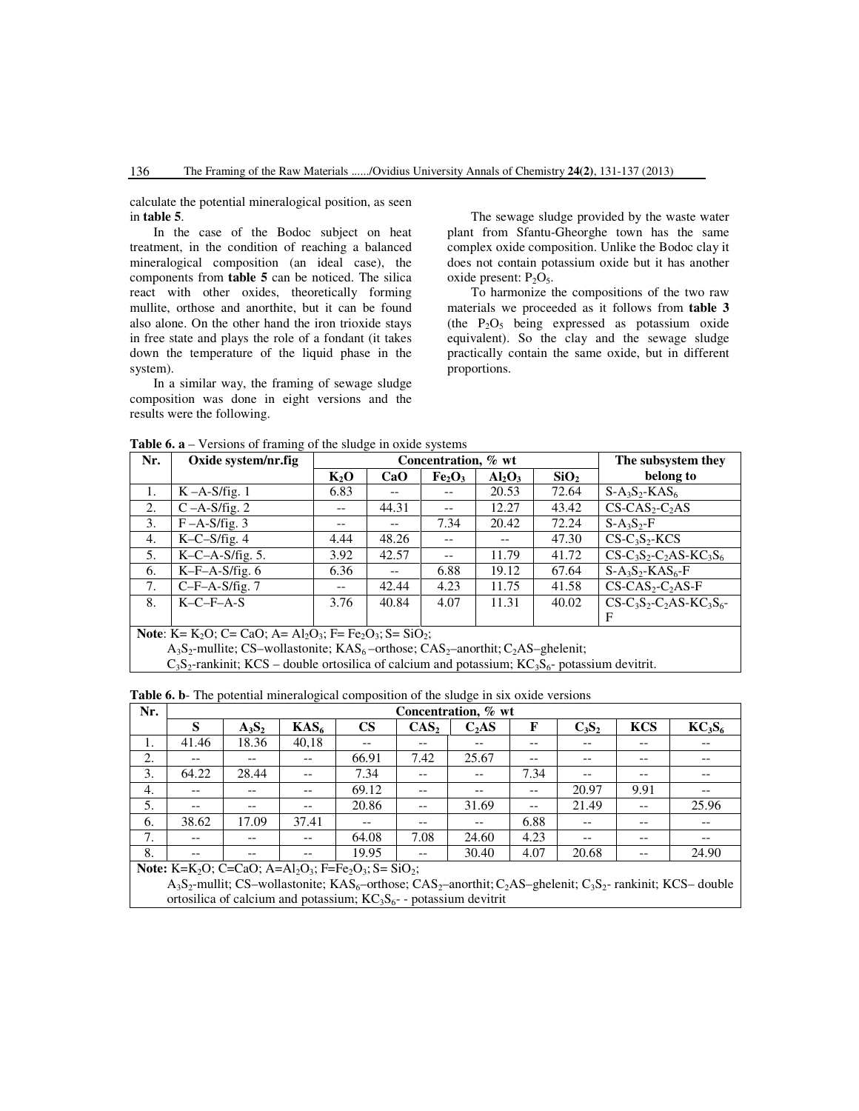calculate the potential mineralogical position, as seen in **table 5**.

 In the case of the Bodoc subject on heat treatment, in the condition of reaching a balanced mineralogical composition (an ideal case), the components from **table 5** can be noticed. The silica react with other oxides, theoretically forming mullite, orthose and anorthite, but it can be found also alone. On the other hand the iron trioxide stays in free state and plays the role of a fondant (it takes down the temperature of the liquid phase in the system).

In a similar way, the framing of sewage sludge composition was done in eight versions and the results were the following.

 The sewage sludge provided by the waste water plant from Sfantu-Gheorghe town has the same complex oxide composition. Unlike the Bodoc clay it does not contain potassium oxide but it has another oxide present:  $P_2O_5$ .

 To harmonize the compositions of the two raw materials we proceeded as it follows from **table 3** (the  $P_2O_5$  being expressed as potassium oxide equivalent). So the clay and the sewage sludge practically contain the same oxide, but in different proportions.

| Nr. | Oxide system/nr.fig                                                                     |        | Concentration, % wt | The subsystem they             |           |                  |                             |  |  |  |
|-----|-----------------------------------------------------------------------------------------|--------|---------------------|--------------------------------|-----------|------------------|-----------------------------|--|--|--|
|     |                                                                                         | $K_2O$ | CaO                 | Fe <sub>2</sub> O <sub>3</sub> | $Al_2O_3$ | SiO <sub>2</sub> | belong to                   |  |  |  |
| 1.  | $K-A-S/fig.1$                                                                           | 6.83   |                     |                                | 20.53     | 72.64            | $S-A_3S_2-KAS_6$            |  |  |  |
| 2.  | $C - A-S/fig. 2$                                                                        | $- -$  | 44.31               | $- -$                          | 12.27     | 43.42            | $CS-CAS_2-C_2AS$            |  |  |  |
| 3.  | $F - A-S/fig. 3$                                                                        | $- -$  | $- -$               | 7.34                           | 20.42     | 72.24            | $S-A_3S_2-F$                |  |  |  |
| 4.  | $K-C-S/fig. 4$                                                                          | 4.44   | 48.26               |                                |           | 47.30            | $CS-C_3S_2-KCS$             |  |  |  |
| 5.  | $K-C-A-S/fig. 5.$                                                                       | 3.92   | 42.57               | $- -$                          | 11.79     | 41.72            | $CS-C_3S_2-C_2AS-KC_3S_6$   |  |  |  |
| 6.  | $K-F-A-S/fig. 6$                                                                        | 6.36   | $- -$               | 6.88                           | 19.12     | 67.64            | $S-A_3S_2-KAS_6-F$          |  |  |  |
| 7.  | $C-F-A-S/fig. 7$                                                                        | $- -$  | 42.44               | 4.23                           | 11.75     | 41.58            | $CS-CAS_2-C_2AS-F$          |  |  |  |
| 8.  | $K-C-F-A-S$                                                                             | 3.76   | 40.84               | 4.07                           | 11.31     | 40.02            | $CS-C_3S_2-C_2AS-KC_3S_6$ - |  |  |  |
|     |                                                                                         |        |                     |                                |           |                  | $\mathbf F$                 |  |  |  |
|     | <b>Note:</b> $K = K_0 O$ : $C = CaO$ : $A = A l_0 O_2$ : $F = Fe_0 O_2$ : $S = SiO_2$ . |        |                     |                                |           |                  |                             |  |  |  |

 $=$  Al<sub>2</sub>O<sub>3</sub>; F= Fe<sub>2</sub>O<sub>3</sub>; S= SiO<sub>2</sub>;

 $A_3S_2$ -mullite; CS–wollastonite; KAS<sub>6</sub>–orthose; CAS<sub>2</sub>–anorthit; C<sub>2</sub>AS–ghelenit;

 $C_3S_2$ -rankinit; KCS – double ortosilica of calcium and potassium; KC<sub>3</sub>S<sub>6</sub>- potassium devitrit.

| Nr. | Concentration, % wt |          |                  |               |                  |                   |       |          |            |                                |  |
|-----|---------------------|----------|------------------|---------------|------------------|-------------------|-------|----------|------------|--------------------------------|--|
|     | S                   | $A_3S_2$ | KAS <sub>6</sub> | $\mathbf{CS}$ | CAS <sub>2</sub> | C <sub>2</sub> AS | F     | $C_3S_2$ | <b>KCS</b> | KC <sub>3</sub> S <sub>6</sub> |  |
| ı.  | 41.46               | 18.36    | 40,18            | --            | --               | --                | $- -$ | --       | $ -$       | --                             |  |
| 2.  | --                  | --       | $- -$            | 66.91         | 7.42             | 25.67             | $- -$ | --       | $ -$       | --                             |  |
| 3.  | 64.22               | 28.44    | $- -$            | 7.34          | $- -$            | $- -$             | 7.34  | --       | $- -$      | $- -$                          |  |
| 4.  | $- -$               | --       | $- -$            | 69.12         | --               | --                | $- -$ | 20.97    | 9.91       | --                             |  |
| 5.  | $- -$               | $- -$    | $- -$            | 20.86         | $- -$            | 31.69             | $- -$ | 21.49    | $-$        | 25.96                          |  |
| 6.  | 38.62               | 17.09    | 37.41            | $- -$         | --               | $- -$             | 6.88  | $- -$    | --         | $- -$                          |  |
| 7.  | $- -$               | $- -$    | $- -$            | 64.08         | 7.08             | 24.60             | 4.23  | --       | $ -$       | $- -$                          |  |
| 8.  | --                  | $- -$    | --               | 19.95         | --               | 30.40             | 4.07  | 20.68    | $ -$       | 24.90                          |  |

**Table 6. b**- The potential mineralogical composition of the sludge in six oxide versions

**Note:** K=K<sub>2</sub>O; C=CaO; A=Al<sub>2</sub>O<sub>3</sub>; F=Fe<sub>2</sub>O<sub>3</sub>; S= SiO<sub>2</sub>;

A<sub>3</sub>S<sub>2</sub>-mullit; CS–wollastonite; KAS<sub>6</sub>–orthose; CAS<sub>2</sub>–anorthit; C<sub>2</sub>AS–ghelenit; C<sub>3</sub>S<sub>2</sub>- rankinit; KCS– double ortosilica of calcium and potassium;  $KC_3S_6$ - - potassium devitrit